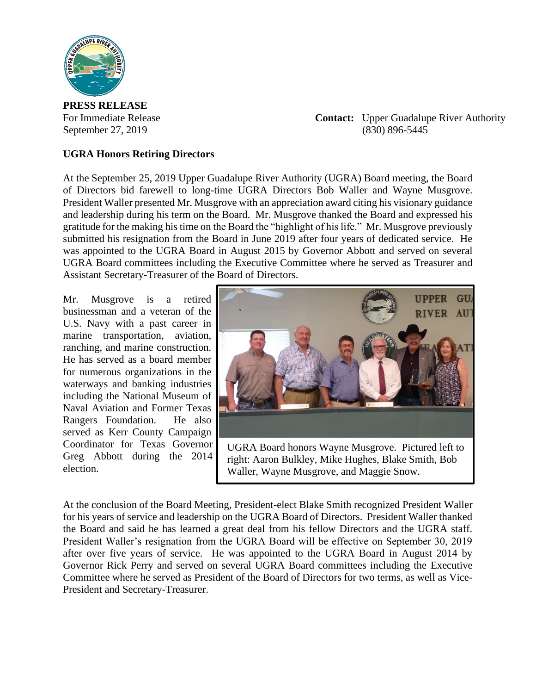

**PRESS RELEASE**

For Immediate Release **Contact:** Upper Guadalupe River Authority September 27, 2019 (830) 896-5445

## **UGRA Honors Retiring Directors**

At the September 25, 2019 Upper Guadalupe River Authority (UGRA) Board meeting, the Board of Directors bid farewell to long-time UGRA Directors Bob Waller and Wayne Musgrove. President Waller presented Mr. Musgrove with an appreciation award citing his visionary guidance and leadership during his term on the Board. Mr. Musgrove thanked the Board and expressed his gratitude for the making his time on the Board the "highlight of his life." Mr. Musgrove previously submitted his resignation from the Board in June 2019 after four years of dedicated service. He was appointed to the UGRA Board in August 2015 by Governor Abbott and served on several UGRA Board committees including the Executive Committee where he served as Treasurer and Assistant Secretary-Treasurer of the Board of Directors.

Mr. Musgrove is a retired businessman and a veteran of the U.S. Navy with a past career in marine transportation, aviation, ranching, and marine construction. He has served as a board member for numerous organizations in the waterways and banking industries including the National Museum of Naval Aviation and Former Texas Rangers Foundation. He also served as Kerr County Campaign Coordinator for Texas Governor Greg Abbott during the 2014 election.



UGRA Board honors Wayne Musgrove. Pictured left to right: Aaron Bulkley, Mike Hughes, Blake Smith, Bob Waller, Wayne Musgrove, and Maggie Snow.

At the conclusion of the Board Meeting, President-elect Blake Smith recognized President Waller for his years of service and leadership on the UGRA Board of Directors. President Waller thanked the Board and said he has learned a great deal from his fellow Directors and the UGRA staff. President Waller's resignation from the UGRA Board will be effective on September 30, 2019 after over five years of service. He was appointed to the UGRA Board in August 2014 by Governor Rick Perry and served on several UGRA Board committees including the Executive Committee where he served as President of the Board of Directors for two terms, as well as Vice-President and Secretary-Treasurer.